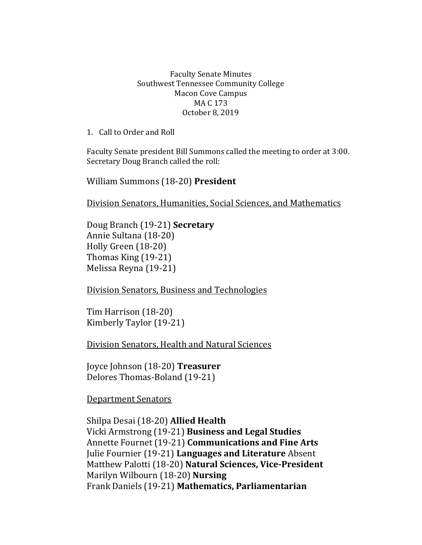## Faculty Senate Minutes Southwest Tennessee Community College Macon Cove Campus MA C 173 October 8, 2019

1. Call to Order and Roll

Faculty Senate president Bill Summons called the meeting to order at 3:00. Secretary Doug Branch called the roll:

William Summons (18-20) **President**

Division Senators, Humanities, Social Sciences, and Mathematics

Doug Branch (19-21) **Secretary** Annie Sultana (18-20) Holly Green (18-20) Thomas King (19-21) Melissa Reyna (19-21)

Division Senators, Business and Technologies

Tim Harrison (18-20) Kimberly Taylor (19-21)

Division Senators, Health and Natural Sciences

Joyce Johnson (18-20) **Treasurer** Delores Thomas-Boland (19-21)

Department Senators

Shilpa Desai (18-20) **Allied Health** Vicki Armstrong (19-21) **Business and Legal Studies**  Annette Fournet (19-21) **Communications and Fine Arts** Julie Fournier (19-21) **Languages and Literature** Absent Matthew Palotti (18-20) **Natural Sciences, Vice-President** Marilyn Wilbourn (18-20) **Nursing** Frank Daniels (19-21) **Mathematics, Parliamentarian**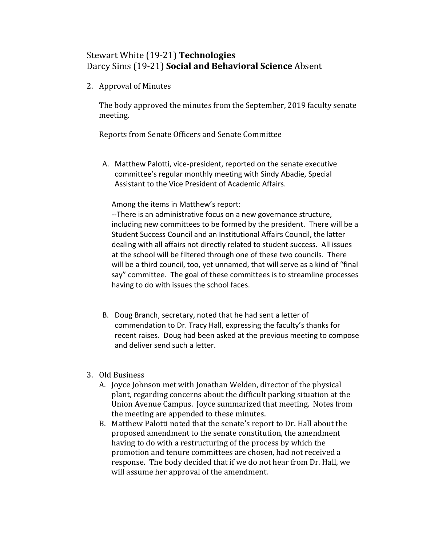## Stewart White (19-21) **Technologies** Darcy Sims (19-21) **Social and Behavioral Science** Absent

2. Approval of Minutes

The body approved the minutes from the September, 2019 faculty senate meeting.

Reports from Senate Officers and Senate Committee

A. Matthew Palotti, vice-president, reported on the senate executive committee's regular monthly meeting with Sindy Abadie, Special Assistant to the Vice President of Academic Affairs.

Among the items in Matthew's report:

--There is an administrative focus on a new governance structure, including new committees to be formed by the president. There will be a Student Success Council and an Institutional Affairs Council, the latter dealing with all affairs not directly related to student success. All issues at the school will be filtered through one of these two councils. There will be a third council, too, yet unnamed, that will serve as a kind of "final say" committee. The goal of these committees is to streamline processes having to do with issues the school faces.

- B. Doug Branch, secretary, noted that he had sent a letter of commendation to Dr. Tracy Hall, expressing the faculty's thanks for recent raises. Doug had been asked at the previous meeting to compose and deliver send such a letter.
- 3. Old Business
	- A. Joyce Johnson met with Jonathan Welden, director of the physical plant, regarding concerns about the difficult parking situation at the Union Avenue Campus. Joyce summarized that meeting. Notes from the meeting are appended to these minutes.
	- B. Matthew Palotti noted that the senate's report to Dr. Hall about the proposed amendment to the senate constitution, the amendment having to do with a restructuring of the process by which the promotion and tenure committees are chosen, had not received a response. The body decided that if we do not hear from Dr. Hall, we will assume her approval of the amendment.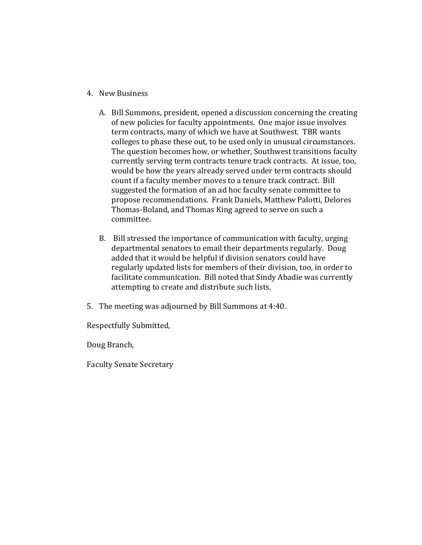- 4. New Business
	- A. Bill Summons, president, opened a discussion concerning the creating of new policies for faculty appointments. One major issue involves term contracts, many of which we have at Southwest. TBR wants colleges to phase these out, to be used only in unusual circumstances. The question becomes how, or whether, Southwest transitions faculty currently serving term contracts tenure track contracts. At issue, too, would be how the years already served under term contracts should count if a faculty member moves to a tenure track contract. Bill suggested the formation of an ad hoc faculty senate committee to propose recommendations. Frank Daniels, Matthew Palotti, Delores Thomas-Boland, and Thomas King agreed to serve on such a committee.
	- B. Bill stressed the importance of communication with faculty, urging departmental senators to email their departments regularly. Doug added that it would be helpful if division senators could have regularly updated lists for members of their division, too, in order to facilitate communication. Bill noted that Sindy Abadie was currently attempting to create and distribute such lists.
- 5. The meeting was adjourned by Bill Summons at 4:40.

Respectfully Submitted,

Doug Branch,

Faculty Senate Secretary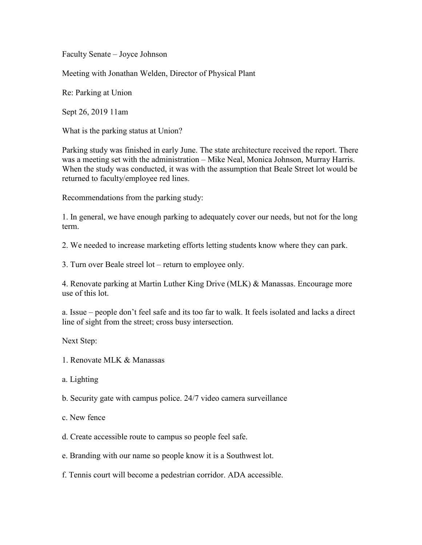Faculty Senate – Joyce Johnson

Meeting with Jonathan Welden, Director of Physical Plant

Re: Parking at Union

Sept 26, 2019 11am

What is the parking status at Union?

Parking study was finished in early June. The state architecture received the report. There was a meeting set with the administration – Mike Neal, Monica Johnson, Murray Harris. When the study was conducted, it was with the assumption that Beale Street lot would be returned to faculty/employee red lines.

Recommendations from the parking study:

1. In general, we have enough parking to adequately cover our needs, but not for the long term.

2. We needed to increase marketing efforts letting students know where they can park.

3. Turn over Beale streel lot – return to employee only.

4. Renovate parking at Martin Luther King Drive (MLK) & Manassas. Encourage more use of this lot.

a. Issue – people don't feel safe and its too far to walk. It feels isolated and lacks a direct line of sight from the street; cross busy intersection.

Next Step:

- 1. Renovate MLK & Manassas
- a. Lighting

b. Security gate with campus police. 24/7 video camera surveillance

c. New fence

d. Create accessible route to campus so people feel safe.

e. Branding with our name so people know it is a Southwest lot.

f. Tennis court will become a pedestrian corridor. ADA accessible.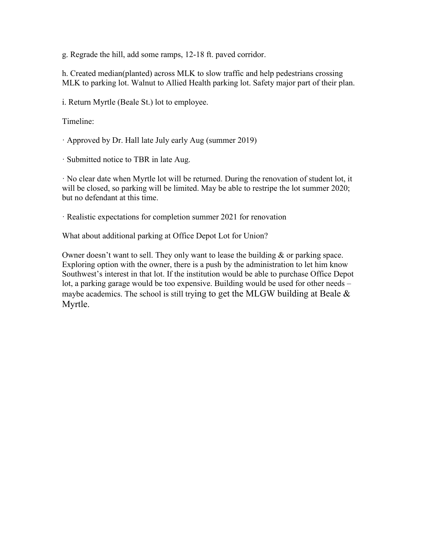g. Regrade the hill, add some ramps, 12-18 ft. paved corridor.

h. Created median(planted) across MLK to slow traffic and help pedestrians crossing MLK to parking lot. Walnut to Allied Health parking lot. Safety major part of their plan.

i. Return Myrtle (Beale St.) lot to employee.

Timeline:

· Approved by Dr. Hall late July early Aug (summer 2019)

· Submitted notice to TBR in late Aug.

· No clear date when Myrtle lot will be returned. During the renovation of student lot, it will be closed, so parking will be limited. May be able to restripe the lot summer 2020; but no defendant at this time.

· Realistic expectations for completion summer 2021 for renovation

What about additional parking at Office Depot Lot for Union?

Owner doesn't want to sell. They only want to lease the building & or parking space. Exploring option with the owner, there is a push by the administration to let him know Southwest's interest in that lot. If the institution would be able to purchase Office Depot lot, a parking garage would be too expensive. Building would be used for other needs – maybe academics. The school is still trying to get the MLGW building at Beale  $\&$ Myrtle.